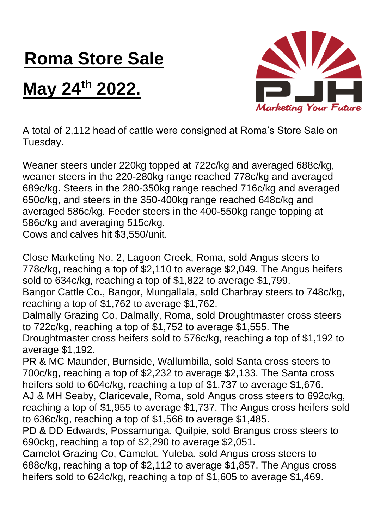## **Roma Store Sale**

## **May 24th 2022.**



A total of 2,112 head of cattle were consigned at Roma's Store Sale on Tuesday.

Weaner steers under 220kg topped at 722c/kg and averaged 688c/kg, weaner steers in the 220-280kg range reached 778c/kg and averaged 689c/kg. Steers in the 280-350kg range reached 716c/kg and averaged 650c/kg, and steers in the 350-400kg range reached 648c/kg and averaged 586c/kg. Feeder steers in the 400-550kg range topping at 586c/kg and averaging 515c/kg.

Cows and calves hit \$3,550/unit.

Close Marketing No. 2, Lagoon Creek, Roma, sold Angus steers to 778c/kg, reaching a top of \$2,110 to average \$2,049. The Angus heifers sold to 634c/kg, reaching a top of \$1,822 to average \$1,799.

Bangor Cattle Co., Bangor, Mungallala, sold Charbray steers to 748c/kg, reaching a top of \$1,762 to average \$1,762.

Dalmally Grazing Co, Dalmally, Roma, sold Droughtmaster cross steers to 722c/kg, reaching a top of \$1,752 to average \$1,555. The

Droughtmaster cross heifers sold to 576c/kg, reaching a top of \$1,192 to average \$1,192.

PR & MC Maunder, Burnside, Wallumbilla, sold Santa cross steers to 700c/kg, reaching a top of \$2,232 to average \$2,133. The Santa cross heifers sold to 604c/kg, reaching a top of \$1,737 to average \$1,676.

AJ & MH Seaby, Claricevale, Roma, sold Angus cross steers to 692c/kg, reaching a top of \$1,955 to average \$1,737. The Angus cross heifers sold to 636c/kg, reaching a top of \$1,566 to average \$1,485.

PD & DD Edwards, Possamunga, Quilpie, sold Brangus cross steers to 690ckg, reaching a top of \$2,290 to average \$2,051.

Camelot Grazing Co, Camelot, Yuleba, sold Angus cross steers to 688c/kg, reaching a top of \$2,112 to average \$1,857. The Angus cross heifers sold to 624c/kg, reaching a top of \$1,605 to average \$1,469.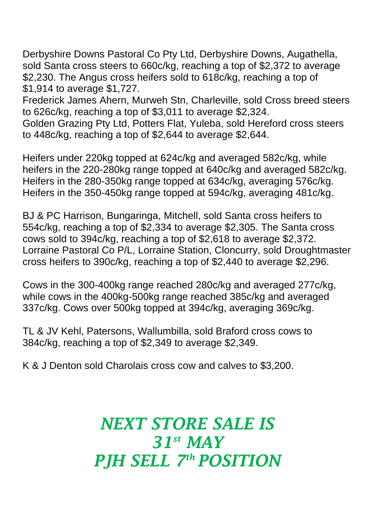Derbyshire Downs Pastoral Co Pty Ltd, Derbyshire Downs, Augathella, sold Santa cross steers to 660c/kg, reaching a top of \$2,372 to average \$2,230. The Angus cross heifers sold to 618c/kg, reaching a top of \$1,914 to average \$1,727.

Frederick James Ahern, Murweh Stn, Charleville, sold Cross breed steers to 626c/kg, reaching a top of \$3,011 to average \$2,324.

Golden Grazing Pty Ltd, Potters Flat, Yuleba, sold Hereford cross steers to 448c/kg, reaching a top of \$2,644 to average \$2,644.

Heifers under 220kg topped at 624c/kg and averaged 582c/kg, while heifers in the 220-280kg range topped at 640c/kg and averaged 582c/kg. Heifers in the 280-350kg range topped at 634c/kg, averaging 576c/kg. Heifers in the 350-450kg range topped at 594c/kg, averaging 481c/kg.

BJ & PC Harrison, Bungaringa, Mitchell, sold Santa cross heifers to 554c/kg, reaching a top of \$2,334 to average \$2,305. The Santa cross cows sold to 394c/kg, reaching a top of \$2,618 to average \$2,372. Lorraine Pastoral Co P/L, Lorraine Station, Cloncurry, sold Droughtmaster cross heifers to 390c/kg, reaching a top of \$2,440 to average \$2,296.

Cows in the 300-400kg range reached 280c/kg and averaged 277c/kg, while cows in the 400kg-500kg range reached 385c/kg and averaged 337c/kg. Cows over 500kg topped at 394c/kg, averaging 369c/kg.

TL & JV Kehl, Patersons, Wallumbilla, sold Braford cross cows to 384c/kg, reaching a top of \$2,349 to average \$2,349.

K & J Denton sold Charolais cross cow and calves to \$3,200.

## *NEXT STORE SALE IS 31st MAY PJH SELL 7 th POSITION*